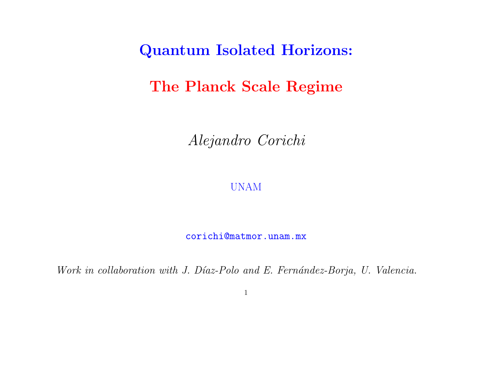Quantum Isolated Horizons:

The Planck Scale Regime

Alejandro Corichi

UNAM

corichi@matmor.unam.mx

Work in collaboration with J. Díaz-Polo and E. Fernández-Borja, U. Valencia.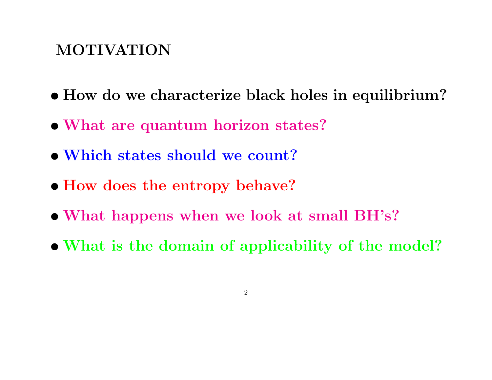## MOTIVATION

- How do we characterize black holes in equilibrium?
- What are quantum horizon states?
- Which states should we count?
- How does the entropy behave?
- What happens when we look at small BH's?
- What is the domain of applicability of the model?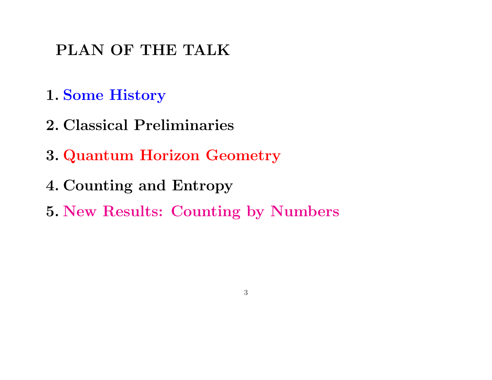# PLAN OF THE TALK

- 1. Some History
- 2. Classical Preliminaries
- 3. Quantum Horizon Geometry
- 4. Counting and Entropy
- 5. New Results: Counting by Numbers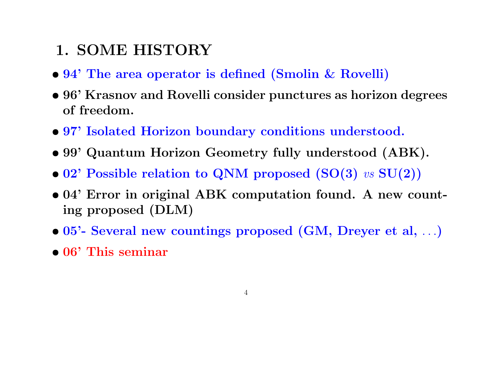# 1. SOME HISTORY

- 94' The area operator is defined (Smolin & Rovelli)
- 96' Krasnov and Rovelli consider punctures as horizon degrees of freedom.
- 97' Isolated Horizon boundary conditions understood.
- 99' Quantum Horizon Geometry fully understood (ABK).
- 02' Possible relation to QNM proposed  $(SO(3)$  vs  $SU(2))$
- 04' Error in original ABK computation found. A new counting proposed (DLM)
- 05'- Several new countings proposed (GM, Dreyer et al, ...)

4

• 06' This seminar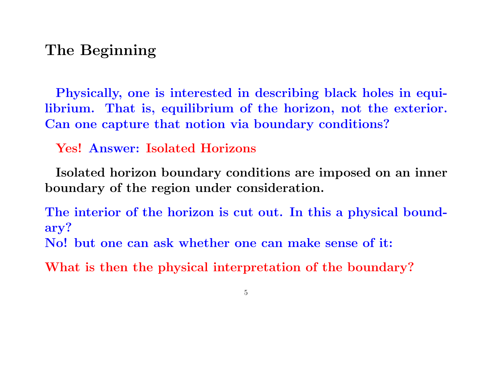The Beginning

Physically, one is interested in describing black holes in equilibrium. That is, equilibrium of the horizon, not the exterior. Can one capture that notion via boundary conditions?

Yes! Answer: Isolated Horizons

Isolated horizon boundary conditions are imposed on an inner boundary of the region under consideration.

The interior of the horizon is cut out. In this a physical boundary?

No! but one can ask whether one can make sense of it:

What is then the physical interpretation of the boundary?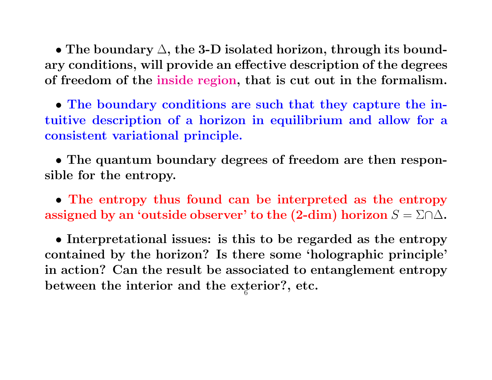• The boundary  $\Delta$ , the 3-D isolated horizon, through its boundary conditions, will provide an effective description of the degrees of freedom of the inside region, that is cut out in the formalism.

• The boundary conditions are such that they capture the intuitive description of a horizon in equilibrium and allow for a consistent variational principle.

• The quantum boundary degrees of freedom are then responsible for the entropy.

• The entropy thus found can be interpreted as the entropy assigned by an 'outside observer' to the  $(2\t-dim)$  horizon  $S = \Sigma \cap \Delta$ .

• Interpretational issues: is this to be regarded as the entropy contained by the horizon? Is there some 'holographic principle' in action? Can the result be associated to entanglement entropy between the interior and the exterior?, etc.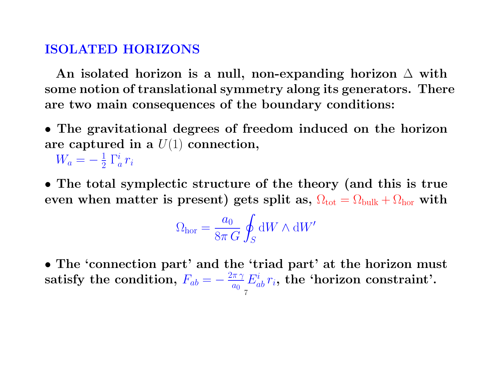#### ISOLATED HORIZONS

An isolated horizon is a null, non-expanding horizon  $\Delta$  with some notion of translational symmetry along its generators. There are two main consequences of the boundary conditions:

• The gravitational degrees of freedom induced on the horizon are captured in a  $U(1)$  connection,

 $W_a = -\frac{1}{2}$  $\frac{1}{2}$   $\Gamma_c^i$  $\frac{i}{a}\,r_i$ 

• The total symplectic structure of the theory (and this is true even when matter is present) gets split as,  $\Omega_{\text{tot}} = \Omega_{\text{bulk}} + \Omega_{\text{hor}}$  with

$$
\Omega_{\rm hor} = \frac{a_0}{8\pi\,G} \oint_S \mathrm{d} W \wedge \mathrm{d} W'
$$

• The 'connection part' and the 'triad part' at the horizon must satisfy the condition,  $F_{ab}=-\frac{2\pi\,\gamma}{a_0}$  $\frac{\pi \gamma}{a_0} E^i_{ab} \, r_i, \, {\rm the \,\, 'horizon \,\, constraint'}.$ 7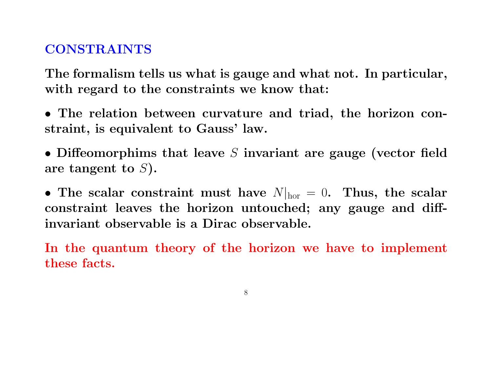#### CONSTRAINTS

The formalism tells us what is gauge and what not. In particular, with regard to the constraints we know that:

- The relation between curvature and triad, the horizon constraint, is equivalent to Gauss' law.
- Diffeomorphims that leave S invariant are gauge (vector field are tangent to  $S$ ).
- The scalar constraint must have  $N|_{\text{hor}} = 0$ . Thus, the scalar constraint leaves the horizon untouched; any gauge and diffinvariant observable is a Dirac observable.

In the quantum theory of the horizon we have to implement these facts.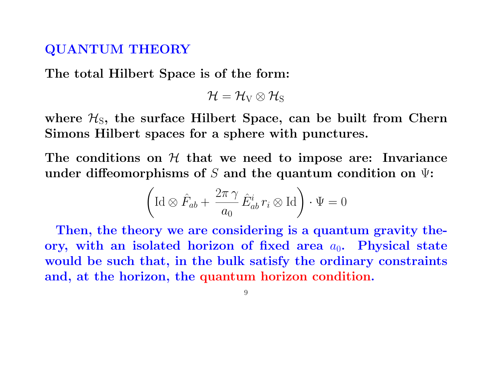#### QUANTUM THEORY

The total Hilbert Space is of the form:

$$
\mathcal{H}=\mathcal{H}_\text{V}\otimes\mathcal{H}_\text{S}
$$

where  $\mathcal{H}_S$ , the surface Hilbert Space, can be built from Chern Simons Hilbert spaces for a sphere with punctures.

The conditions on  $H$  that we need to impose are: Invariance under diffeomorphisms of S and the quantum condition on  $\Psi$ :

$$
\left(\mathrm{Id}\otimes\hat{F}_{ab}+\frac{2\pi\,\gamma}{a_0}\,\hat{E}^i_{ab}\,r_i\otimes\mathrm{Id}\right)\cdot\Psi=0
$$

Then, the theory we are considering is a quantum gravity theory, with an isolated horizon of fixed area  $a_0$ . Physical state would be such that, in the bulk satisfy the ordinary constraints and, at the horizon, the quantum horizon condition.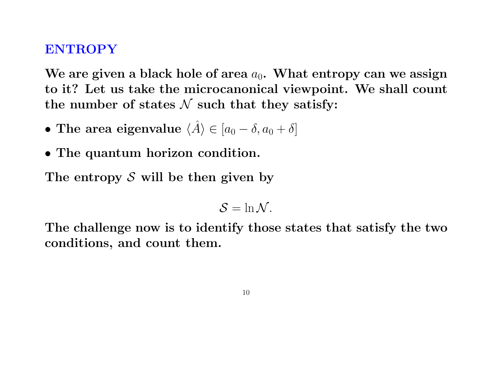#### ENTROPY

We are given a black hole of area  $a_0$ . What entropy can we assign to it? Let us take the microcanonical viewpoint. We shall count the number of states  $N$  such that they satisfy:

- The area eigenvalue  $\langle \hat{A} \rangle \in [a_0 \delta, a_0 + \delta]$
- The quantum horizon condition.

The entropy  $S$  will be then given by

 $S = \ln N$ .

The challenge now is to identify those states that satisfy the two conditions, and count them.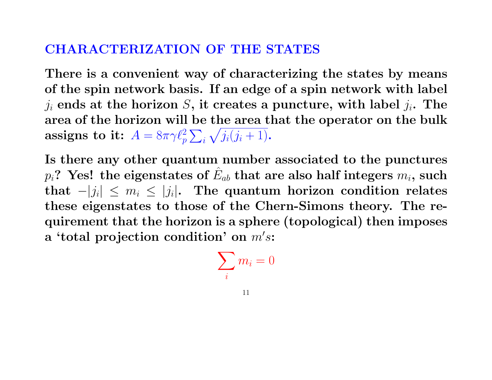#### CHARACTERIZATION OF THE STATES

There is a convenient way of characterizing the states by means of the spin network basis. If an edge of a spin network with label  $j_i$  ends at the horizon S, it creates a puncture, with label  $j_i$ . The area of the horizon will be the area that the operator on the bulk assigns to it:  $A = 8\pi \gamma \ell_p^2 \sum_i \sqrt{j_i(j_i+1)}$ .

Is there any other quantum number associated to the punctures  $p_i$ ? Yes! the eigenstates of  $\hat{E}_{ab}$  that are also half integers  $m_i$ , such  $\text{that}~~ -|j_i| \,\leq\, m_i \,\leq\, |j_i|.$  The quantum horizon condition relates these eigenstates to those of the Chern-Simons theory. The requirement that the horizon is a sphere (topological) then imposes a 'total projection condition' on  $m's$ :

$$
\sum_i m_i = 0
$$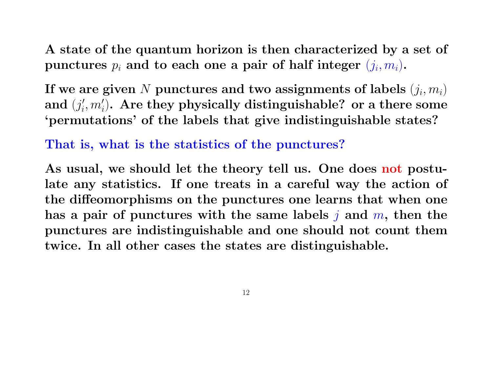A state of the quantum horizon is then characterized by a set of punctures  $p_i$  and to each one a pair of half integer  $(j_i,m_i)$ .

If we are given  $N$  punctures and two assignments of labels  $\left( {{j_i}, {m_i}} \right)$ and  $(j_i^{\prime}% )\equiv\sum_{i=1}^{L}{\boldsymbol{h}_{i}^{\dagger}}% {\boldsymbol{h}_{i}^{\dagger}}% {\boldsymbol{x}_{i}^{\dagger}}% {\boldsymbol{x}_{i}^{\dagger}}% {\boldsymbol{x}_{i}^{\dagger}}% {\boldsymbol{x}_{i}^{\dagger}}% {\boldsymbol{x}_{i}^{\dagger}}% {\boldsymbol{x}_{i}^{\dagger}}% {\boldsymbol{x}_{i}^{\dagger}}% {\boldsymbol{x}_{i}^{\dagger}}% {\boldsymbol{x}_{i}^{\dagger}}% {\boldsymbol{x}_{i}^{\dagger}}% {\boldsymbol{x}_{i}^{\dagger}}% {\boldsymbol{x}_{i}^{\dagger}}% {\boldsymbol{x}_{i}^{\dagger}}%$  $\mathbf{m}_i', m_i'$ ). Are they physically distinguishable? or a there some 'permutations' of the labels that give indistinguishable states?

## That is, what is the statistics of the punctures?

As usual, we should let the theory tell us. One does not postulate any statistics. If one treats in a careful way the action of the diffeomorphisms on the punctures one learns that when one has a pair of punctures with the same labels j and  $m$ , then the punctures are indistinguishable and one should not count them twice. In all other cases the states are distinguishable.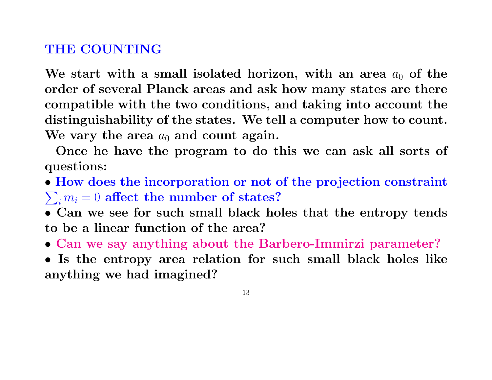## THE COUNTING

We start with a small isolated horizon, with an area  $a_0$  of the order of several Planck areas and ask how many states are there compatible with the two conditions, and taking into account the distinguishability of the states. We tell a computer how to count. We vary the area  $a_0$  and count again.

Once he have the program to do this we can ask all sorts of questions:

• How does the incorporation or not of the projection constraint  $\sum_i m_i = 0$  affect the number of states?

• Can we see for such small black holes that the entropy tends to be a linear function of the area?

• Can we say anything about the Barbero-Immirzi parameter?

• Is the entropy area relation for such small black holes like anything we had imagined?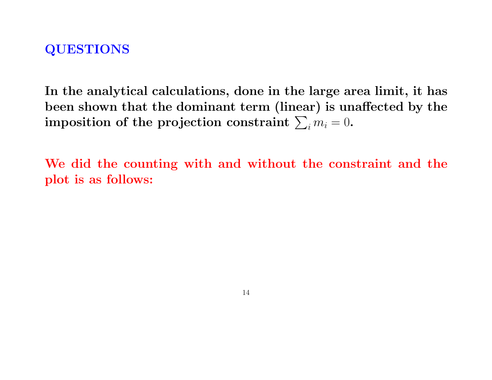## QUESTIONS

In the analytical calculations, done in the large area limit, it has been shown that the dominant term (linear) is unaffected by the imposition of the projection constraint  $\sum_i m_i = 0.$ 

We did the counting with and without the constraint and the plot is as follows: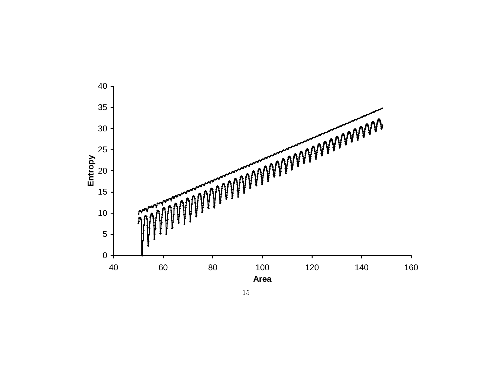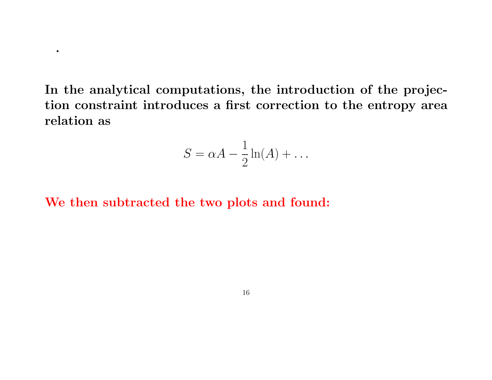In the analytical computations, the introduction of the projection constraint introduces a first correction to the entropy area relation as

$$
S = \alpha A - \frac{1}{2}\ln(A) + \dots
$$

We then subtracted the two plots and found:

.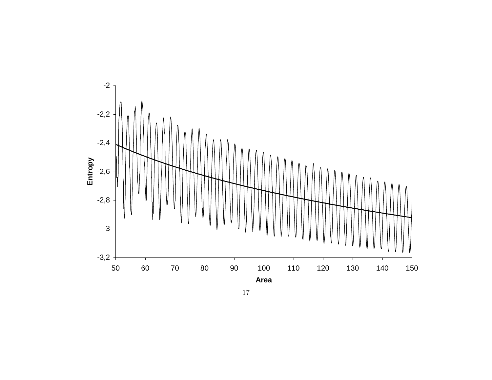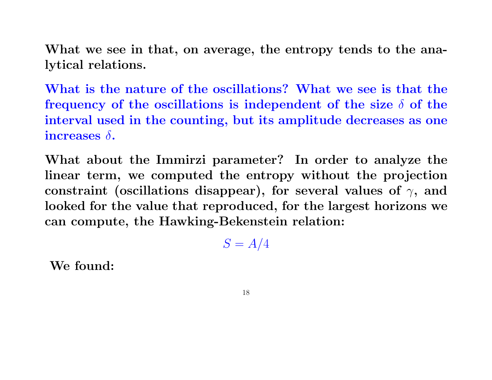What we see in that, on average, the entropy tends to the analytical relations.

What is the nature of the oscillations? What we see is that the frequency of the oscillations is independent of the size  $\delta$  of the interval used in the counting, but its amplitude decreases as one increases  $\delta$ .

What about the Immirzi parameter? In order to analyze the linear term, we computed the entropy without the projection constraint (oscillations disappear), for several values of  $\gamma$ , and looked for the value that reproduced, for the largest horizons we can compute, the Hawking-Bekenstein relation:

 $S = A/4$ 

We found: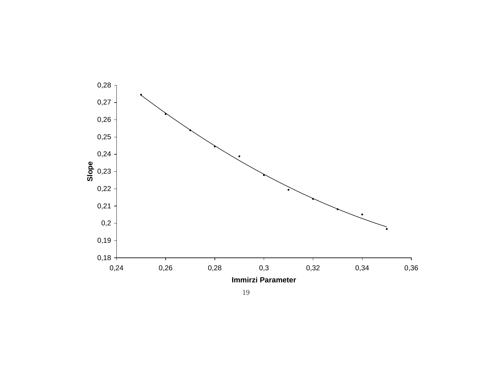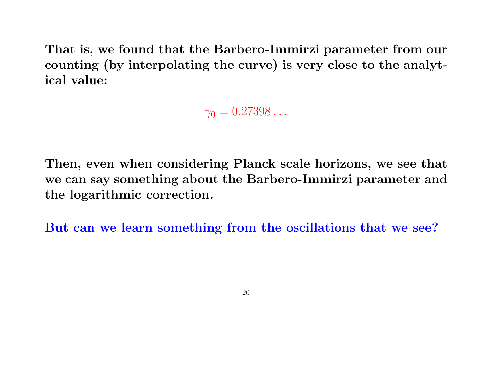That is, we found that the Barbero-Immirzi parameter from our counting (by interpolating the curve) is very close to the analytical value:

 $\gamma_0 = 0.27398...$ 

Then, even when considering Planck scale horizons, we see that we can say something about the Barbero-Immirzi parameter and the logarithmic correction.

But can we learn something from the oscillations that we see?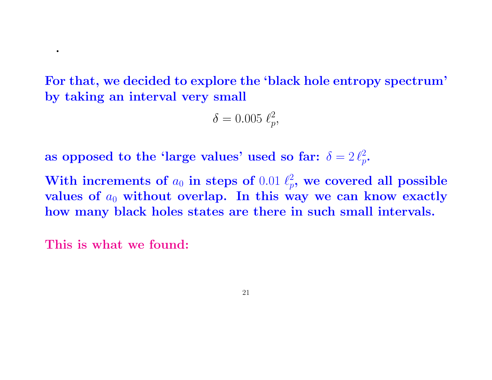For that, we decided to explore the 'black hole entropy spectrum' by taking an interval very small

$$
\delta = 0.005 \ \ell_p^2,
$$

as opposed to the 'large values' used so far:  $\delta = 2 \ell_p^2$  $\frac{2}{p}$ .

With increments of  $a_0$  in steps of 0.01  $\ell_p^2$  $_{p}^{2}\textrm{, we covered all possible}$ values of  $a_0$  without overlap. In this way we can know exactly how many black holes states are there in such small intervals.

This is what we found:

.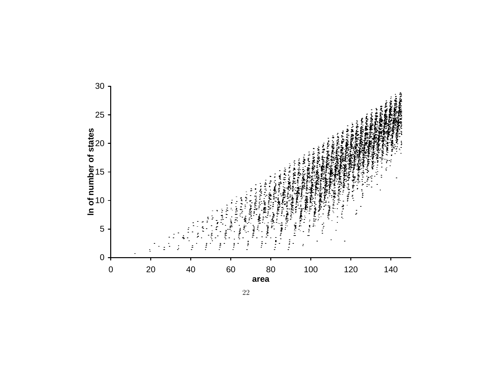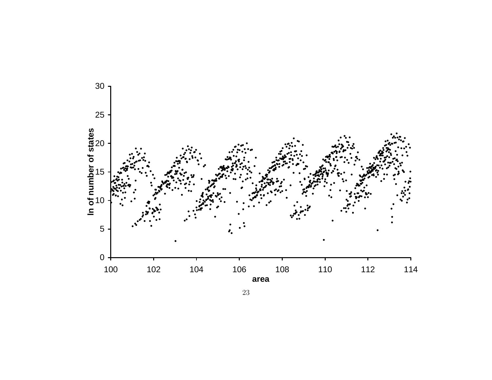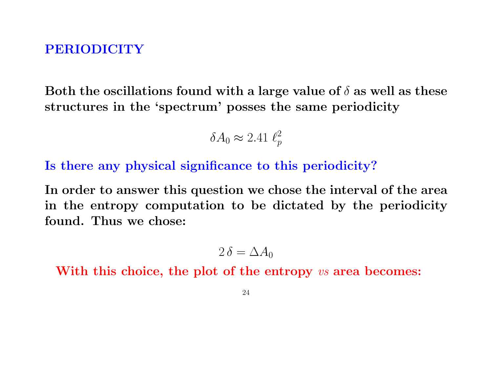## **PERIODICITY**

Both the oscillations found with a large value of  $\delta$  as well as these structures in the 'spectrum' posses the same periodicity

$$
\delta A_0 \approx 2.41 \ \ell_p^2
$$

Is there any physical significance to this periodicity?

In order to answer this question we chose the interval of the area in the entropy computation to be dictated by the periodicity found. Thus we chose:

$$
2\,\delta=\Delta A_0
$$

With this choice, the plot of the entropy vs area becomes: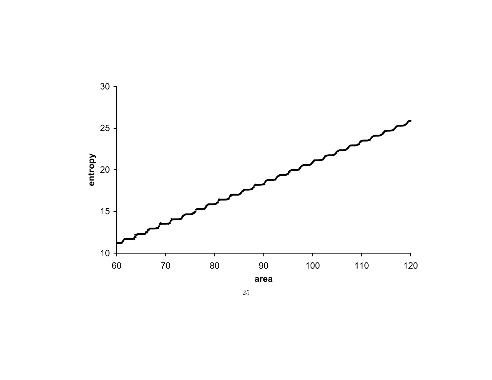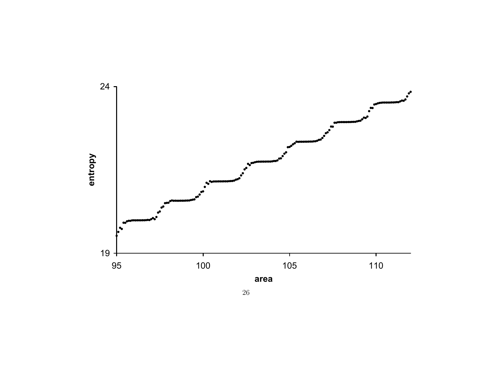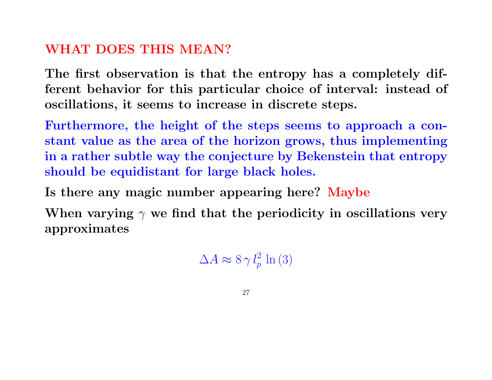## WHAT DOES THIS MEAN?

The first observation is that the entropy has a completely different behavior for this particular choice of interval: instead of oscillations, it seems to increase in discrete steps.

Furthermore, the height of the steps seems to approach a constant value as the area of the horizon grows, thus implementing in a rather subtle way the conjecture by Bekenstein that entropy should be equidistant for large black holes.

Is there any magic number appearing here? Maybe

When varying  $\gamma$  we find that the periodicity in oscillations very approximates

 $\Delta A \approx 8 \gamma l_p^2 \ln(3)$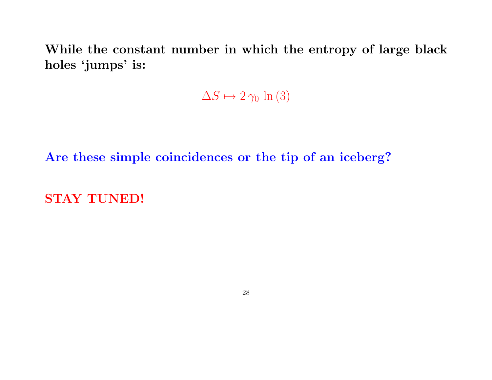While the constant number in which the entropy of large black holes 'jumps' is:

 $\Delta S \mapsto 2 \gamma_0 \ln(3)$ 

Are these simple coincidences or the tip of an iceberg?

STAY TUNED!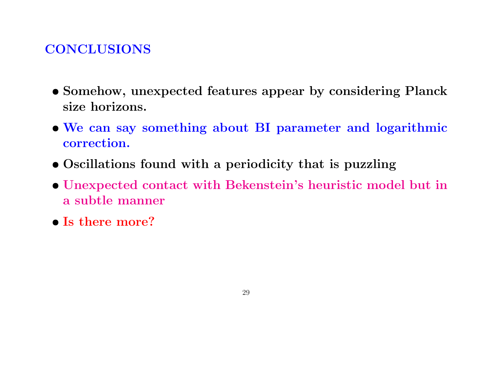## **CONCLUSIONS**

- Somehow, unexpected features appear by considering Planck size horizons.
- We can say something about BI parameter and logarithmic correction.
- Oscillations found with a periodicity that is puzzling
- Unexpected contact with Bekenstein's heuristic model but in a subtle manner
- Is there more?